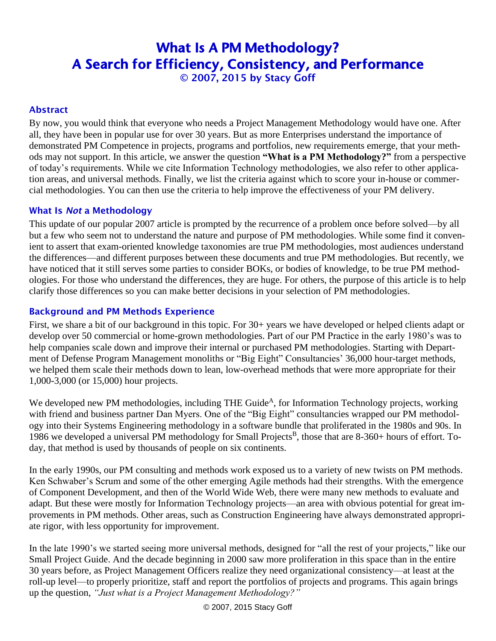# What Is A PM Methodology? A Search for Efficiency, Consistency, and Performance © 2007, 2015 by Stacy Goff

## Abstract

By now, you would think that everyone who needs a Project Management Methodology would have one. After all, they have been in popular use for over 30 years. But as more Enterprises understand the importance of demonstrated PM Competence in projects, programs and portfolios, new requirements emerge, that your methods may not support. In this article, we answer the question **"What is a PM Methodology?"** from a perspective of today's requirements. While we cite Information Technology methodologies, we also refer to other application areas, and universal methods. Finally, we list the criteria against which to score your in-house or commercial methodologies. You can then use the criteria to help improve the effectiveness of your PM delivery.

#### What Is *Not* a Methodology

This update of our popular 2007 article is prompted by the recurrence of a problem once before solved—by all but a few who seem not to understand the nature and purpose of PM methodologies. While some find it convenient to assert that exam-oriented knowledge taxonomies are true PM methodologies, most audiences understand the differences—and different purposes between these documents and true PM methodologies. But recently, we have noticed that it still serves some parties to consider BOKs, or bodies of knowledge, to be true PM methodologies. For those who understand the differences, they are huge. For others, the purpose of this article is to help clarify those differences so you can make better decisions in your selection of PM methodologies.

## Background and PM Methods Experience

First, we share a bit of our background in this topic. For 30+ years we have developed or helped clients adapt or develop over 50 commercial or home-grown methodologies. Part of our PM Practice in the early 1980's was to help companies scale down and improve their internal or purchased PM methodologies. Starting with Department of Defense Program Management monoliths or "Big Eight" Consultancies' 36,000 hour-target methods, we helped them scale their methods down to lean, low-overhead methods that were more appropriate for their 1,000-3,000 (or 15,000) hour projects.

We developed new PM methodologies, including THE Guide<sup>A</sup>, for Information Technology projects, working with friend and business partner Dan Myers. One of the "Big Eight" consultancies wrapped our PM methodology into their Systems Engineering methodology in a software bundle that proliferated in the 1980s and 90s. In 1986 we developed a universal PM methodology for Small Projects<sup>B</sup>, those that are 8-360+ hours of effort. Today, that method is used by thousands of people on six continents.

In the early 1990s, our PM consulting and methods work exposed us to a variety of new twists on PM methods. Ken Schwaber's Scrum and some of the other emerging Agile methods had their strengths. With the emergence of Component Development, and then of the World Wide Web, there were many new methods to evaluate and adapt. But these were mostly for Information Technology projects—an area with obvious potential for great improvements in PM methods. Other areas, such as Construction Engineering have always demonstrated appropriate rigor, with less opportunity for improvement.

In the late 1990's we started seeing more universal methods, designed for "all the rest of your projects," like our Small Project Guide. And the decade beginning in 2000 saw more proliferation in this space than in the entire 30 years before, as Project Management Officers realize they need organizational consistency—at least at the roll-up level—to properly prioritize, staff and report the portfolios of projects and programs. This again brings up the question, *"Just what is a Project Management Methodology?"*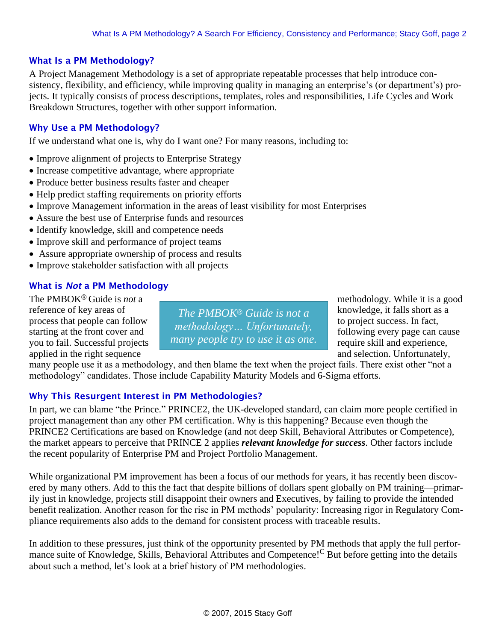#### What Is a PM Methodology?

A Project Management Methodology is a set of appropriate repeatable processes that help introduce consistency, flexibility, and efficiency, while improving quality in managing an enterprise's (or department's) projects. It typically consists of process descriptions, templates, roles and responsibilities, Life Cycles and Work Breakdown Structures, together with other support information.

#### Why Use a PM Methodology?

If we understand what one is, why do I want one? For many reasons, including to:

- Improve alignment of projects to Enterprise Strategy
- Increase competitive advantage, where appropriate
- Produce better business results faster and cheaper
- Help predict staffing requirements on priority efforts
- Improve Management information in the areas of least visibility for most Enterprises
- Assure the best use of Enterprise funds and resources
- Identify knowledge, skill and competence needs
- Improve skill and performance of project teams
- Assure appropriate ownership of process and results
- Improve stakeholder satisfaction with all projects

## What is *Not* a PM Methodology

reference of key areas of *The PMBOK® Guide is not a* knowledge, it falls short as a applied in the right sequence and selection. Unfortunately,

process that people can follow  $\frac{1}{\sqrt{1-\frac{1}{2}}}$   $\frac{1}{\sqrt{1-\frac{1}{2}}}$  to project success. In fact, starting at the front cover and  $\begin{bmatrix} m_{\text{eff}} & m_{\text{eff}} & m_{\text{eff}} \\ m_{\text{eff}} & m_{\text{eff}} & m_{\text{eff}} \end{bmatrix}$  following every page can cause you to fail. Successful projects many people try to use it as one. require skill and experience, *methodology… Unfortunately, many people try to use it as one.*

The PMBOK<sup>®</sup> Guide is *not* a methodology. While it is a good

many people use it as a methodology, and then blame the text when the project fails. There exist other "not a methodology" candidates. Those include Capability Maturity Models and 6-Sigma efforts.

## Why This Resurgent Interest in PM Methodologies?

In part, we can blame "the Prince." PRINCE2, the UK-developed standard, can claim more people certified in project management than any other PM certification. Why is this happening? Because even though the PRINCE2 Certifications are based on Knowledge (and not deep Skill, Behavioral Attributes or Competence), the market appears to perceive that PRINCE 2 applies *relevant knowledge for success*. Other factors include the recent popularity of Enterprise PM and Project Portfolio Management.

While organizational PM improvement has been a focus of our methods for years, it has recently been discovered by many others. Add to this the fact that despite billions of dollars spent globally on PM training—primarily just in knowledge, projects still disappoint their owners and Executives, by failing to provide the intended benefit realization. Another reason for the rise in PM methods' popularity: Increasing rigor in Regulatory Compliance requirements also adds to the demand for consistent process with traceable results.

In addition to these pressures, just think of the opportunity presented by PM methods that apply the full performance suite of Knowledge, Skills, Behavioral Attributes and Competence!<sup>C</sup> But before getting into the details about such a method, let's look at a brief history of PM methodologies.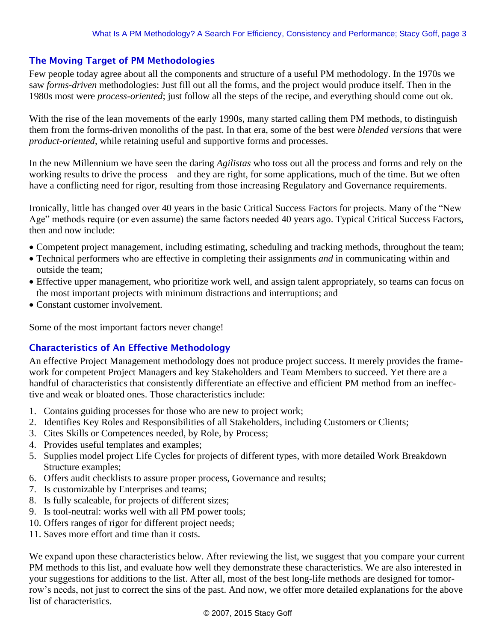## The Moving Target of PM Methodologies

Few people today agree about all the components and structure of a useful PM methodology. In the 1970s we saw *forms-driven* methodologies: Just fill out all the forms, and the project would produce itself. Then in the 1980s most were *process-oriented*; just follow all the steps of the recipe, and everything should come out ok.

With the rise of the lean movements of the early 1990s, many started calling them PM methods, to distinguish them from the forms-driven monoliths of the past. In that era, some of the best were *blended versions* that were *product-oriented*, while retaining useful and supportive forms and processes.

In the new Millennium we have seen the daring *Agilistas* who toss out all the process and forms and rely on the working results to drive the process—and they are right, for some applications, much of the time. But we often have a conflicting need for rigor, resulting from those increasing Regulatory and Governance requirements.

Ironically, little has changed over 40 years in the basic Critical Success Factors for projects. Many of the "New Age" methods require (or even assume) the same factors needed 40 years ago. Typical Critical Success Factors, then and now include:

- Competent project management, including estimating, scheduling and tracking methods, throughout the team;
- Technical performers who are effective in completing their assignments *and* in communicating within and outside the team;
- Effective upper management, who prioritize work well, and assign talent appropriately, so teams can focus on the most important projects with minimum distractions and interruptions; and
- Constant customer involvement.

Some of the most important factors never change!

## Characteristics of An Effective Methodology

An effective Project Management methodology does not produce project success. It merely provides the framework for competent Project Managers and key Stakeholders and Team Members to succeed. Yet there are a handful of characteristics that consistently differentiate an effective and efficient PM method from an ineffective and weak or bloated ones. Those characteristics include:

- 1. Contains guiding processes for those who are new to project work;
- 2. Identifies Key Roles and Responsibilities of all Stakeholders, including Customers or Clients;
- 3. Cites Skills or Competences needed, by Role, by Process;
- 4. Provides useful templates and examples;
- 5. Supplies model project Life Cycles for projects of different types, with more detailed Work Breakdown Structure examples;
- 6. Offers audit checklists to assure proper process, Governance and results;
- 7. Is customizable by Enterprises and teams;
- 8. Is fully scaleable, for projects of different sizes;
- 9. Is tool-neutral: works well with all PM power tools;
- 10. Offers ranges of rigor for different project needs;
- 11. Saves more effort and time than it costs.

We expand upon these characteristics below. After reviewing the list, we suggest that you compare your current PM methods to this list, and evaluate how well they demonstrate these characteristics. We are also interested in your suggestions for additions to the list. After all, most of the best long-life methods are designed for tomorrow's needs, not just to correct the sins of the past. And now, we offer more detailed explanations for the above list of characteristics.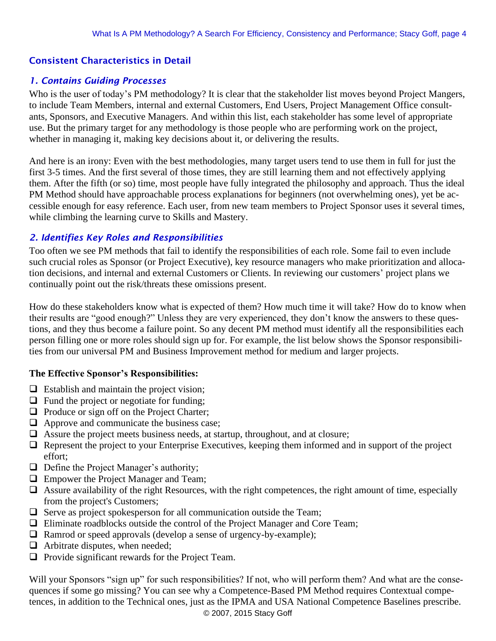# Consistent Characteristics in Detail

## *1. Contains Guiding Processes*

Who is the user of today's PM methodology? It is clear that the stakeholder list moves beyond Project Mangers, to include Team Members, internal and external Customers, End Users, Project Management Office consultants, Sponsors, and Executive Managers. And within this list, each stakeholder has some level of appropriate use. But the primary target for any methodology is those people who are performing work on the project, whether in managing it, making key decisions about it, or delivering the results.

And here is an irony: Even with the best methodologies, many target users tend to use them in full for just the first 3-5 times. And the first several of those times, they are still learning them and not effectively applying them. After the fifth (or so) time, most people have fully integrated the philosophy and approach. Thus the ideal PM Method should have approachable process explanations for beginners (not overwhelming ones), yet be accessible enough for easy reference. Each user, from new team members to Project Sponsor uses it several times, while climbing the learning curve to Skills and Mastery.

## *2. Identifies Key Roles and Responsibilities*

Too often we see PM methods that fail to identify the responsibilities of each role. Some fail to even include such crucial roles as Sponsor (or Project Executive), key resource managers who make prioritization and allocation decisions, and internal and external Customers or Clients. In reviewing our customers' project plans we continually point out the risk/threats these omissions present.

How do these stakeholders know what is expected of them? How much time it will take? How do to know when their results are "good enough?" Unless they are very experienced, they don't know the answers to these questions, and they thus become a failure point. So any decent PM method must identify all the responsibilities each person filling one or more roles should sign up for. For example, the list below shows the Sponsor responsibilities from our universal PM and Business Improvement method for medium and larger projects.

## **The Effective Sponsor's Responsibilities:**

- $\Box$  Establish and maintain the project vision;
- $\Box$  Fund the project or negotiate for funding;
- ❑ Produce or sign off on the Project Charter;
- ❑ Approve and communicate the business case;
- ❑ Assure the project meets business needs, at startup, throughout, and at closure;
- ❑ Represent the project to your Enterprise Executives, keeping them informed and in support of the project effort;
- ❑ Define the Project Manager's authority;
- ❑ Empower the Project Manager and Team;
- □ Assure availability of the right Resources, with the right competences, the right amount of time, especially from the project's Customers;
- □ Serve as project spokesperson for all communication outside the Team;
- ❑ Eliminate roadblocks outside the control of the Project Manager and Core Team;
- ❑ Ramrod or speed approvals (develop a sense of urgency-by-example);
- ❑ Arbitrate disputes, when needed;
- ❑ Provide significant rewards for the Project Team.

Will your Sponsors "sign up" for such responsibilities? If not, who will perform them? And what are the consequences if some go missing? You can see why a Competence-Based PM Method requires Contextual competences, in addition to the Technical ones, just as the IPMA and USA National Competence Baselines prescribe.

© 2007, 2015 Stacy Goff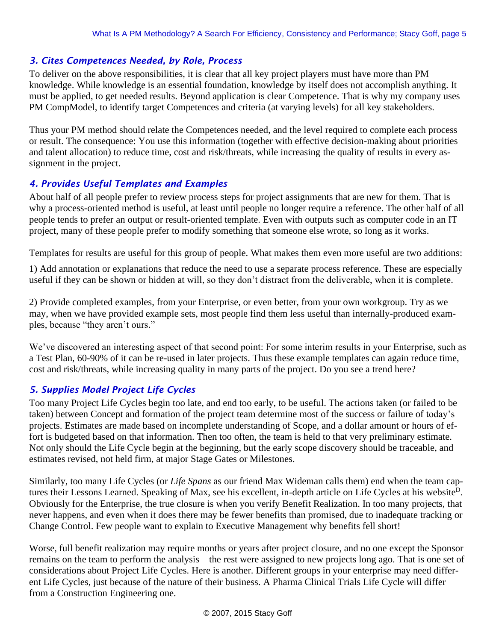## *3. Cites Competences Needed, by Role, Process*

To deliver on the above responsibilities, it is clear that all key project players must have more than PM knowledge. While knowledge is an essential foundation, knowledge by itself does not accomplish anything. It must be applied, to get needed results. Beyond application is clear Competence. That is why my company uses PM CompModel, to identify target Competences and criteria (at varying levels) for all key stakeholders.

Thus your PM method should relate the Competences needed, and the level required to complete each process or result. The consequence: You use this information (together with effective decision-making about priorities and talent allocation) to reduce time, cost and risk/threats, while increasing the quality of results in every assignment in the project.

# *4. Provides Useful Templates and Examples*

About half of all people prefer to review process steps for project assignments that are new for them. That is why a process-oriented method is useful, at least until people no longer require a reference. The other half of all people tends to prefer an output or result-oriented template. Even with outputs such as computer code in an IT project, many of these people prefer to modify something that someone else wrote, so long as it works.

Templates for results are useful for this group of people. What makes them even more useful are two additions:

1) Add annotation or explanations that reduce the need to use a separate process reference. These are especially useful if they can be shown or hidden at will, so they don't distract from the deliverable, when it is complete.

2) Provide completed examples, from your Enterprise, or even better, from your own workgroup. Try as we may, when we have provided example sets, most people find them less useful than internally-produced examples, because "they aren't ours."

We've discovered an interesting aspect of that second point: For some interim results in your Enterprise, such as a Test Plan, 60-90% of it can be re-used in later projects. Thus these example templates can again reduce time, cost and risk/threats, while increasing quality in many parts of the project. Do you see a trend here?

## *5. Supplies Model Project Life Cycles*

Too many Project Life Cycles begin too late, and end too early, to be useful. The actions taken (or failed to be taken) between Concept and formation of the project team determine most of the success or failure of today's projects. Estimates are made based on incomplete understanding of Scope, and a dollar amount or hours of effort is budgeted based on that information. Then too often, the team is held to that very preliminary estimate. Not only should the Life Cycle begin at the beginning, but the early scope discovery should be traceable, and estimates revised, not held firm, at major Stage Gates or Milestones.

Similarly, too many Life Cycles (or *Life Spans* as our friend Max Wideman calls them) end when the team captures their Lessons Learned. Speaking of Max, see his excellent, in-depth article on Life Cycles at his website<sup>D</sup>. Obviously for the Enterprise, the true closure is when you verify Benefit Realization. In too many projects, that never happens, and even when it does there may be fewer benefits than promised, due to inadequate tracking or Change Control. Few people want to explain to Executive Management why benefits fell short!

Worse, full benefit realization may require months or years after project closure, and no one except the Sponsor remains on the team to perform the analysis—the rest were assigned to new projects long ago. That is one set of considerations about Project Life Cycles. Here is another. Different groups in your enterprise may need different Life Cycles, just because of the nature of their business. A Pharma Clinical Trials Life Cycle will differ from a Construction Engineering one.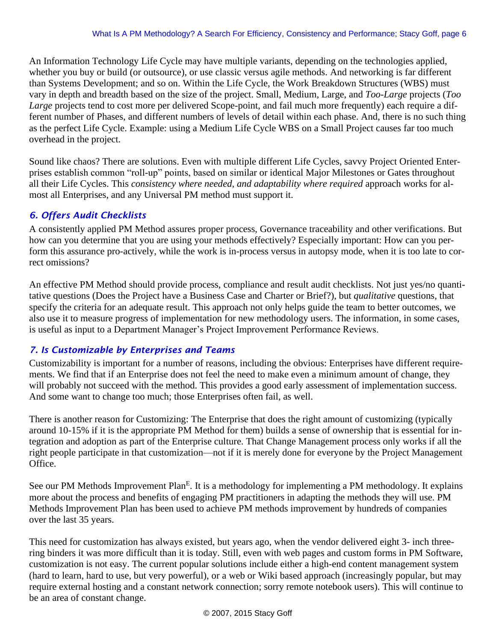An Information Technology Life Cycle may have multiple variants, depending on the technologies applied, whether you buy or build (or outsource), or use classic versus agile methods. And networking is far different than Systems Development; and so on. Within the Life Cycle, the Work Breakdown Structures (WBS) must vary in depth and breadth based on the size of the project. Small, Medium, Large, and *Too-Large* projects (*Too Large* projects tend to cost more per delivered Scope-point, and fail much more frequently) each require a different number of Phases, and different numbers of levels of detail within each phase. And, there is no such thing as the perfect Life Cycle. Example: using a Medium Life Cycle WBS on a Small Project causes far too much overhead in the project.

Sound like chaos? There are solutions. Even with multiple different Life Cycles, savvy Project Oriented Enterprises establish common "roll-up" points, based on similar or identical Major Milestones or Gates throughout all their Life Cycles. This *consistency where needed, and adaptability where required* approach works for almost all Enterprises, and any Universal PM method must support it.

# *6. Offers Audit Checklists*

A consistently applied PM Method assures proper process, Governance traceability and other verifications. But how can you determine that you are using your methods effectively? Especially important: How can you perform this assurance pro-actively, while the work is in-process versus in autopsy mode, when it is too late to correct omissions?

An effective PM Method should provide process, compliance and result audit checklists. Not just yes/no quantitative questions (Does the Project have a Business Case and Charter or Brief?), but *qualitative* questions, that specify the criteria for an adequate result. This approach not only helps guide the team to better outcomes, we also use it to measure progress of implementation for new methodology users. The information, in some cases, is useful as input to a Department Manager's Project Improvement Performance Reviews.

## *7. Is Customizable by Enterprises and Teams*

Customizability is important for a number of reasons, including the obvious: Enterprises have different requirements. We find that if an Enterprise does not feel the need to make even a minimum amount of change, they will probably not succeed with the method. This provides a good early assessment of implementation success. And some want to change too much; those Enterprises often fail, as well.

There is another reason for Customizing: The Enterprise that does the right amount of customizing (typically around 10-15% if it is the appropriate PM Method for them) builds a sense of ownership that is essential for integration and adoption as part of the Enterprise culture. That Change Management process only works if all the right people participate in that customization—not if it is merely done for everyone by the Project Management Office.

See our PM Methods Improvement Plan<sup>E</sup>. It is a methodology for implementing a PM methodology. It explains more about the process and benefits of engaging PM practitioners in adapting the methods they will use. PM Methods Improvement Plan has been used to achieve PM methods improvement by hundreds of companies over the last 35 years.

This need for customization has always existed, but years ago, when the vendor delivered eight 3- inch threering binders it was more difficult than it is today. Still, even with web pages and custom forms in PM Software, customization is not easy. The current popular solutions include either a high-end content management system (hard to learn, hard to use, but very powerful), or a web or Wiki based approach (increasingly popular, but may require external hosting and a constant network connection; sorry remote notebook users). This will continue to be an area of constant change.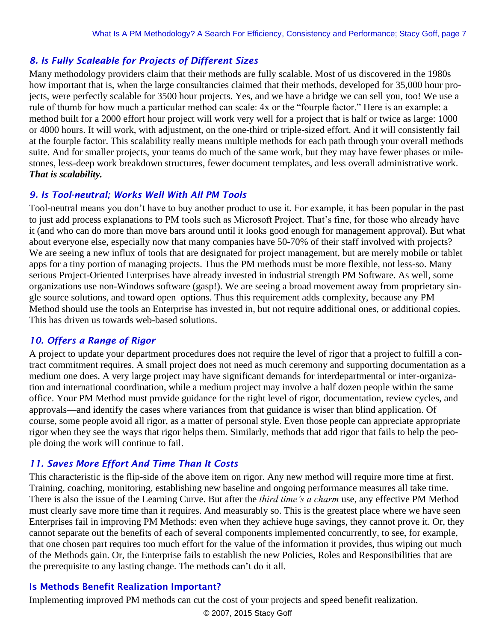# *8. Is Fully Scaleable for Projects of Different Sizes*

Many methodology providers claim that their methods are fully scalable. Most of us discovered in the 1980s how important that is, when the large consultancies claimed that their methods, developed for 35,000 hour projects, were perfectly scalable for 3500 hour projects. Yes, and we have a bridge we can sell you, too! We use a rule of thumb for how much a particular method can scale: 4x or the "fourple factor." Here is an example: a method built for a 2000 effort hour project will work very well for a project that is half or twice as large: 1000 or 4000 hours. It will work, with adjustment, on the one-third or triple-sized effort. And it will consistently fail at the fourple factor. This scalability really means multiple methods for each path through your overall methods suite. And for smaller projects, your teams do much of the same work, but they may have fewer phases or milestones, less-deep work breakdown structures, fewer document templates, and less overall administrative work. *That is scalability.*

#### *9. Is Tool-neutral; Works Well With All PM Tools*

Tool-neutral means you don't have to buy another product to use it. For example, it has been popular in the past to just add process explanations to PM tools such as Microsoft Project. That's fine, for those who already have it (and who can do more than move bars around until it looks good enough for management approval). But what about everyone else, especially now that many companies have 50-70% of their staff involved with projects? We are seeing a new influx of tools that are designated for project management, but are merely mobile or tablet apps for a tiny portion of managing projects. Thus the PM methods must be more flexible, not less-so. Many serious Project-Oriented Enterprises have already invested in industrial strength PM Software. As well, some organizations use non-Windows software (gasp!). We are seeing a broad movement away from proprietary single source solutions, and toward open options. Thus this requirement adds complexity, because any PM Method should use the tools an Enterprise has invested in, but not require additional ones, or additional copies. This has driven us towards web-based solutions.

## *10. Offers a Range of Rigor*

A project to update your department procedures does not require the level of rigor that a project to fulfill a contract commitment requires. A small project does not need as much ceremony and supporting documentation as a medium one does. A very large project may have significant demands for interdepartmental or inter-organization and international coordination, while a medium project may involve a half dozen people within the same office. Your PM Method must provide guidance for the right level of rigor, documentation, review cycles, and approvals—and identify the cases where variances from that guidance is wiser than blind application. Of course, some people avoid all rigor, as a matter of personal style. Even those people can appreciate appropriate rigor when they see the ways that rigor helps them. Similarly, methods that add rigor that fails to help the people doing the work will continue to fail.

## *11. Saves More Effort And Time Than It Costs*

This characteristic is the flip-side of the above item on rigor. Any new method will require more time at first. Training, coaching, monitoring, establishing new baseline and ongoing performance measures all take time. There is also the issue of the Learning Curve. But after the *third time's a charm* use, any effective PM Method must clearly save more time than it requires. And measurably so. This is the greatest place where we have seen Enterprises fail in improving PM Methods: even when they achieve huge savings, they cannot prove it. Or, they cannot separate out the benefits of each of several components implemented concurrently, to see, for example, that one chosen part requires too much effort for the value of the information it provides, thus wiping out much of the Methods gain. Or, the Enterprise fails to establish the new Policies, Roles and Responsibilities that are the prerequisite to any lasting change. The methods can't do it all.

#### Is Methods Benefit Realization Important?

Implementing improved PM methods can cut the cost of your projects and speed benefit realization.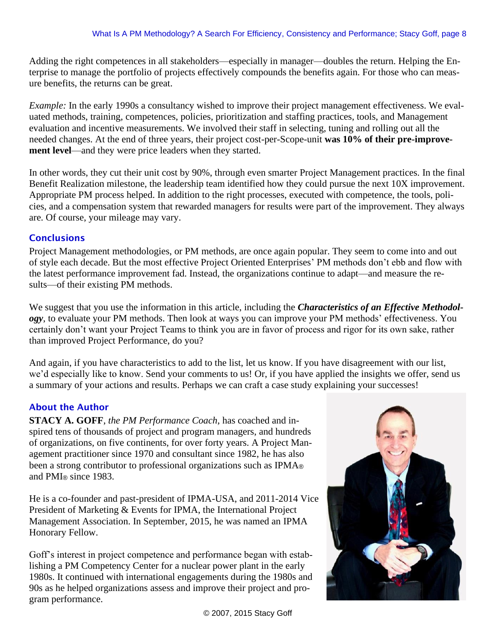Adding the right competences in all stakeholders—especially in manager—doubles the return. Helping the Enterprise to manage the portfolio of projects effectively compounds the benefits again. For those who can measure benefits, the returns can be great.

*Example:* In the early 1990s a consultancy wished to improve their project management effectiveness. We evaluated methods, training, competences, policies, prioritization and staffing practices, tools, and Management evaluation and incentive measurements. We involved their staff in selecting, tuning and rolling out all the needed changes. At the end of three years, their project cost-per-Scope-unit **was 10% of their pre-improvement level**—and they were price leaders when they started.

In other words, they cut their unit cost by 90%, through even smarter Project Management practices. In the final Benefit Realization milestone, the leadership team identified how they could pursue the next 10X improvement. Appropriate PM process helped. In addition to the right processes, executed with competence, the tools, policies, and a compensation system that rewarded managers for results were part of the improvement. They always are. Of course, your mileage may vary.

# **Conclusions**

Project Management methodologies, or PM methods, are once again popular. They seem to come into and out of style each decade. But the most effective Project Oriented Enterprises' PM methods don't ebb and flow with the latest performance improvement fad. Instead, the organizations continue to adapt—and measure the results—of their existing PM methods.

We suggest that you use the information in this article, including the *Characteristics of an Effective Methodology*, to evaluate your PM methods. Then look at ways you can improve your PM methods' effectiveness. You certainly don't want your Project Teams to think you are in favor of process and rigor for its own sake, rather than improved Project Performance, do you?

And again, if you have characteristics to add to the list, let us know. If you have disagreement with our list, we'd especially like to know. Send your comments to us! Or, if you have applied the insights we offer, send us a summary of your actions and results. Perhaps we can craft a case study explaining your successes!

## About the Author

**STACY A. GOFF**, *the PM Performance Coach*, has coached and inspired tens of thousands of project and program managers, and hundreds of organizations, on five continents, for over forty years. A Project Management practitioner since 1970 and consultant since 1982, he has also been a strong contributor to professional organizations such as IPMA® and PMI® since 1983.

He is a co-founder and past-president of IPMA-USA, and 2011-2014 Vice President of Marketing & Events for IPMA, the International Project Management Association. In September, 2015, he was named an IPMA Honorary Fellow.

Goff's interest in project competence and performance began with establishing a PM Competency Center for a nuclear power plant in the early 1980s. It continued with international engagements during the 1980s and 90s as he helped organizations assess and improve their project and program performance.